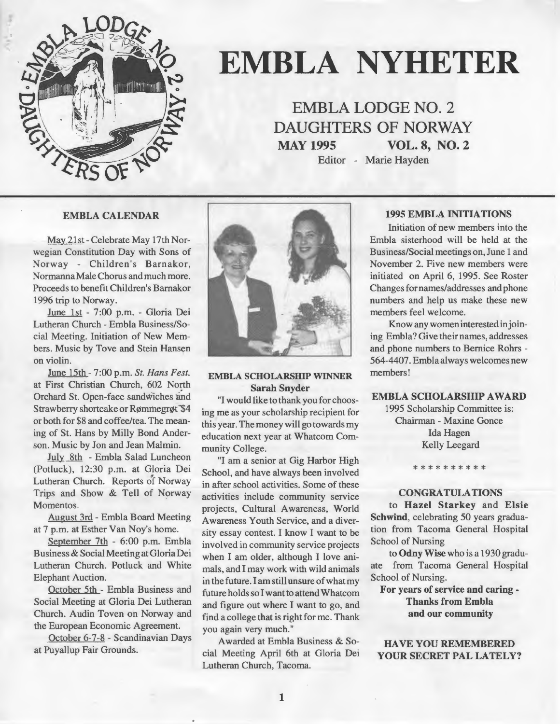

# **EMBLA NYHETER**

**EMBLA LODGE NO. 2 DAUGHTERS OF NORWAY MAY1995 VOL. 8, NO. 2** 

Editor - Marie Hayden

#### **EMBLA CALENDAR**

May 21st - Celebrate May 17th Norwegian Constitution Day with Sons of Norway - Children's Barnakor, NormannaMale Chorus and much more. Proceeds to benefit Children's Barnakor 1996 trip to Norway.

June lst - 7:00 p.m. - Gloria Dei Lutheran Church - Embla Business/Social Meeting. Initiation of New Members. Music by Tove and Stein Hansen on violin.

June 15th - 7:00 p.m. *St. Hans Fest.*  at First Christian Church, 602 North Orchard St. Open-face sandwiches and Strawberry shortcake or Rømmegrøt \$4 or both for \$8 and coffee/tea. The meaning of St. Hans by Milly Bond Anderson. Music by Jon and Jean Malmin.

July Sth - Embla Salad Luncheon (Potluck), 12:30 p.m. at Gloria Dei Lutheran Church. Reports of Norway Trips and Show & Tell of Norway Momentos.

August 3rd - Embla Board Meeting at 7 p.m. at Esther Van Noy's home.

September 7th - 6:00 p.m. Embla Business & Social Meeting at Gloria Dei Lutheran Church. Potluck and White Elephant Auction.

October *Sth* - Embla Business and Social Meeting at Gloria Dei Lutheran Church. Audin Toven on Norway and the European Economic Agreement.

October 6-7-8 - Scandinavian Days at Puyallup Fair Grounds.



## **EMBLA SCHOLARSHIP WINNER Sarah Snyder**

"I would like to thank you for choosing me as your scholarship recipient for this year. The money will go towards my education next year at Whatcom Community College.

"I am a senior at Gig Harbor High School, and have always been involved in after school activities. Some of these activities include community service projects, Cultural Awareness, World Awareness Youth Service, and a diversity essay contest. I know I want to be involved in community service projects when I am older, although I love animals, and I may work with wild animals in the future. I am still unsure of what my future holds so I want to attend Whatcom and figure out where I want to go, and find a college that is right for me. Thank you again very much."

Awarded at Embla Business & Social Meeting April 6th at Gloria Dei Lutheran Church, Tacoma.

#### **1995 EMBLA INITIATIONS**

Initiation of new members into the Embla sisterhood will be held at the Business/Social meetings on, June 1 and November 2. Five new members were initiated on April 6, 1995. See Roster Changes fornames/addresses and phone numbers and help us make these new members feel welcome.

Know any women interested in joining Embla? Give their names, addresses and phone numbers to Bemice Rohrs - 564-4407. Embla always welcomes new members!

#### **EMBLA SCHOLARSHIP A WARD**

1995 Scholarship Committee is: Chairman - Maxine Gonce Ida Hagen Kelly Leegard

#### **CONGRA TULATIONS**

\*\*\*\*\*\*\*\*\*\*

to **Hazel Starkey** and **Elsie Schwind,** celebrating 50 years graduation from Tacoma General Hospital School of Nursing

to **Odny Wise** who isa 1930 graduate from Tacoma General Hospital School of Nursing.

**For years of service and caring** - **Thanks from Embla and our community** 

**HAVEYOUREMEMBERED YOUR SECRET PAL LATELY?**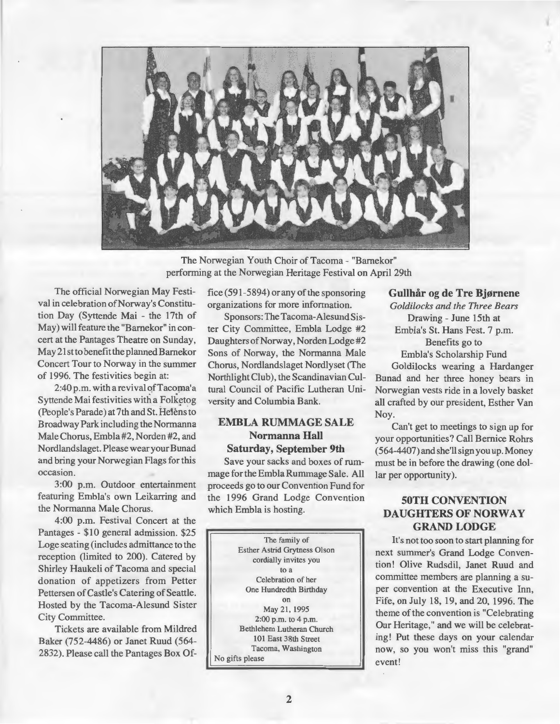

The Norwegian Youth Choir of Tacoma - "Barnekor" performing at the Norwegian Heritage Festival on April 29th

The official Norwegian May Festival in celebration of Norway's Constitution Day (Syttende Mai - the 17th of May) will feature the "Barnekor" in concert at the Pantages Theatre on Sunday, May 21 st to benefit the planned Barnekor Concert Tour to Norway in the summer of 1996. The festivities begin at:

2:40 p.m. with a revival of Tacoma'a Syttende Mai festivities with\_a Folketog (People's Parade) at 7th and St. Helens to Broadway Park including the Normanna Male Chorus, Embla #2, Norden #2, and Nordlandslaget. Please wear your Bunad and bring your Norwegian Flags for this occasion.

3:00 p.m. Outdoor entertainment featuring Embla's own Leikarring and the Normanna Male Chorus.

4:00 p.m. Festival Concert at the Pantages - \$10 general admission. \$25 Loge seating (includes admittance to the reception (limited to 200). Catered by Shirley Haukeli of Tacoma and special donation of appetizers from Petter Pettersen of Castle's Catering of Seattle. Hosted by the Tacoma-Alesund Sister City Committee.

Tickets are available from Mildred Baker (752-4486) or Janet Ruud (564- 2832). Please call the Pantages Box Office (591-5894) or any of the sponsoring organizations for more information.

Sponsors: The Tacoma-Alesund Sister City Committee, Embla Lodge #2 Daughters of Norway, Norden Lodge #2 Sons of Norway, the Normanna Male Chorus, Nordlandslaget Nordlyset (The Northlight Club), the Scandinavian Cultural Council of Pacific Lutheran University and Columbia Bank.

## **EMBLA RUMMAGE SALE Normanna Hall**

**Saturday, September 9th** 

Save your sacks and boxes of rummage for the Embla Rummage Sale. All proceeds go to our Convention Fund for the 1996 Grand Lodge Convention which Embla is hosting.

The family of Esther Astrid Grytness Olson cordially invites you toa Celebration of her One Hundredth Birthday on May 21, 1995 2:00 p.m. to 4 p.m. Bethlehem Lutheran Church 101 East 38th Street Tacoma, Washington No gifts please

**Gullhår og de Tre Bjørnene**  *Goldilocks and the Three Bears*  Drawing - June 15th at Embla's St. Hans Fest. 7 p.m. Benefits go to Embla's Scholarship Fund

Goldilocks wearing a Hardanger Bunad and her three honey bears in Norwegian vests ride in a lovely basket all crafted by our president, Esther Van Noy.

Can't get to meetings to sign up for your opportunities? Call Bemice Rohrs (564-4407) and she'll sign you up. Money must be in before the drawing (one dollar per opportunity).

## **SOTH CONVENTION DAUGHTERS OF NORWAY GRANDLODGE**

It's not too soon to start planning for next summer's Grand Lodge Convention! Olive Rudsdil, Janet Ruud and committee members are planning a super convention at the Executive Inn, Fife, on July 18, 19, and 20, 1996. The theme of the convention is "Celebrating Our Heritage," and we will be celebrating! Put these days on your calendar now, so you won't miss this "grand" event!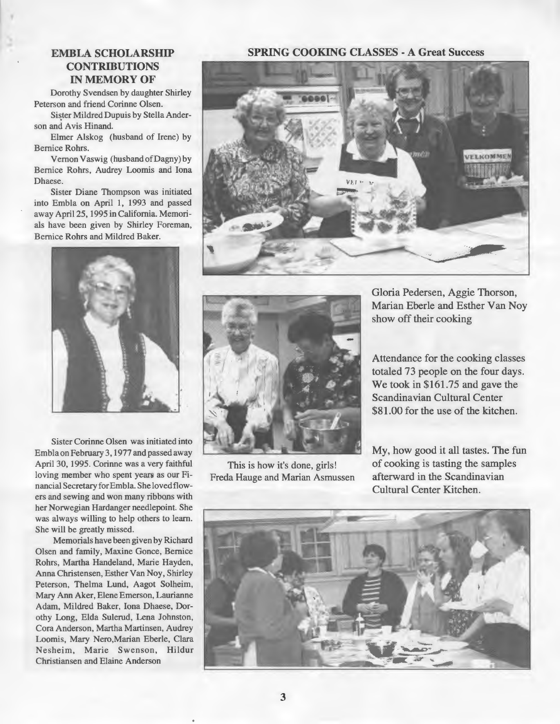## **EMBLA SCHOLARSHIP CONTRIBUTIONS IN MEMORY OF**

f

Dorothy Svendsen by daughter Shirley Peterson and friend Corinne Olsen.

Sister Mildred Dupuis by Stella Anderson and Avis Hinand.

Eimer Alskog (husband of Irene) by Bernice Rohrs.

Vernon Vaswig (husband of Dagny) by Bernice Rohrs, Audrey Loomis and Iona Dhaese.

Sister Diane Thompson was initiated into Embla on April 1, 1993 and passed away April 25, 1995 in California. Memorials have been given by Shirley Foreman, Bernice Rohrs and Mildred Baker.



Sister Corinne Olsen was initiated into Embla on February 3, 1977 and passed away April 30, 1995. Corinne was a very faithful loving member who spent years as our Financial Secretary for Embla. She loved flowers and sewing and won many ribbons with her Norwegian Hardanger needlepoint. She was always willing to help others to learn. She will be greatly missed.

Memorials have been given by Richard Olsen and farnily, Maxine Gonce, Bernice Rohrs, Martha Handeland, Marie Hayden, Anna Christensen, Esther Van Noy, Shirley Peterson, Thelma Lund, Aagot Solheim, Mary Ann Aker, Elene Emerson, Laurianne Adam, Mildred Baker, Iona Dhaese, Dorothy Long, Elda Sulerud, Lena Johnston, Cora Anderson, Martha Martinsen, Audrey Loomis, Mary Nero,Marian Eberle, Clara Nesheim, Marie Swenson, Hildur Christiansen and Elaine Anderson

## **SPRING COOKING CLASSES** - A **Great Success**





This is how it's done, girls! Freda Hauge and Marian Asmussen Gloria Pedersen, Aggie Thorson, Marian Eberle and Esther Van Noy show off their cooking

Attendance for the cooking classes totaled 73 people on the four days. We took in \$161.75 and gave the Scandinavian Cultural Center \$81.00 for the use of the kitchen.

My, how good it all tastes. The fun of cooking is tasting the samples afterward in the Scandinavian Cultural Center Kitchen.

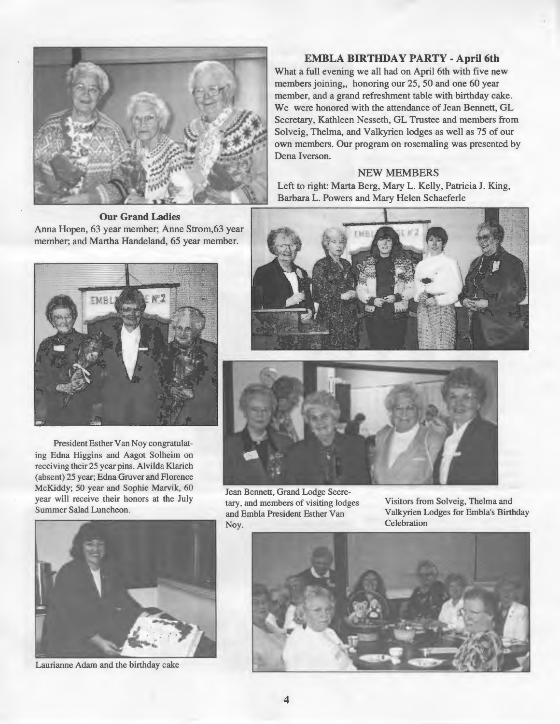

**EMBLA BIRTHDAY PARTY -April 6th** 

What a full evening we all had on April 6th with five new members joining,, honoring our 25, 50 and one 60 year member, and a grand refreshment table with birthday cake. We were honored with the attendance of Jean Bennett, GL Secretary, Kathleen Nesseth, GL Trustee and members from Solveig, Thelma, and Valkyrien lodges as well as 75 of our own members. Our program on rosemaling was presented by Dena Iverson.

## **NEW MEMBERS**

Left to right: Marta Berg, Mary L. Kelly, Patricia J. King, Barbara L. Powers and Mary Helen Schaeferle

**Our Grand Ladies**  Anna Hopen, 63 year member; Anne Strom,63 year member; and Martha Handeland, 65 year member.



President Esther Van Noy congratulating Edna Higgins and Aagot Solheim on receiving their 25 year pins. Alvilda Klarich (absent) 25 year; Edna Gruver and Florence McKiddy; 50 year and Sophie Marvik, 60 year will receive their honors at the July Summer Salad Luncheon.



Laurianne Adam and the birthday cake





Jean Bennett, Grand Lodge Secretary, and members of visiting lodges and Embla President Esther Van Noy.

Visitors from Solveig, Thelma and Valkyrien Lodges for Embla's Birthday **Celebration** 

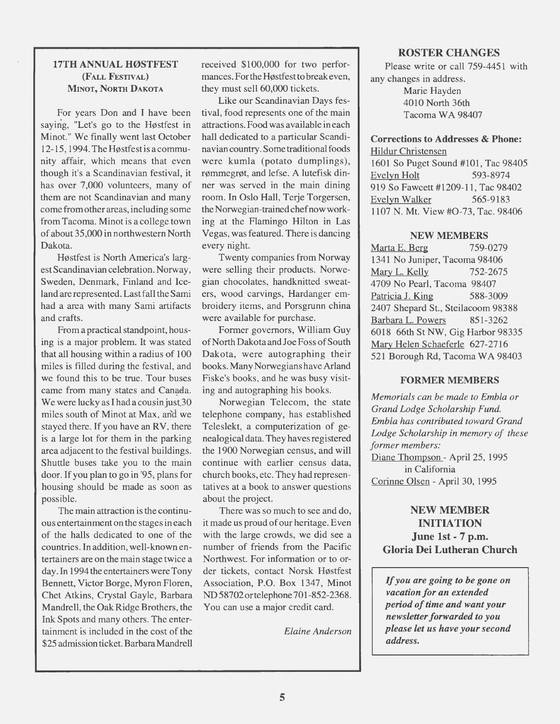## 17TH ANNUAL HØSTFEST (FALL FESTIVAL) MINOT, NORTH DAKOTA

For years Don and I have been saying, "Let's go to the Høstfest in Minot." We finally went last October 12-15, 1994. The Høstfest is acommunity affair, which means that even though it's a Scandinavian festival, it has over 7,000 volunteers, many of them are not Scandinavian and many come from other areas, including some from Tacoma. Minot is a college town of about 35,000 in northwestern North Dakota.

Høstfest is North America's largest Scandinavian celebration. Norway, Sweden, Denmark, Finland and Iceland are represented. Last fall the Sami had a area with many Sami artifacts and crafts.

From a practical standpoint, housing is a major problem. It was stated that all housing within a radius of 100 miles is filled during the festival, and we found this to be true. Tour buses came from many states and Canada. We were lucky as I had a cousin just 30 miles south of Minot at Max, and we stayed there. If you have an RV, there is a large lot for them in the parking area adjacent to the festival buildings. Shuttle buses take you to the main door. If you plan to go in '95, plans for housing should be made as soon as possible.

The main attraction is the continuous entertainment on the stages in each of the halls dedicated to one of the countries. In addition, well-known entertainers are on the main stage twice a day. In 1994 the entertainers were Tony Bennett, Victor Borge, Myron Floren, Chet Atkins, Crystal Gayle, Barbara Mandrell, the Oak Ridge Brothers, the Ink Spots and many others. The entertainrnent is included in the cost of the \$25 admission ticket. Barbara Mandrell

received \$100,000 for two performances. For the Høstfest to break even, they must sell 60,000 tickets.

Like our Scandinavian Days festival, food represents one of the main attractions. Food was available in each hall dedicated to a particular Scandinavian country. Some traditional foods were kumla (potato dumplings), rømmegrøt, and lefse. A lutefisk dinner was served in the main dining room. In Oslo Hall, Terje Torgersen, the Norwegian-trained chef now working at the Flamingo Hilton in Las Vegas, was featured. There is dancing every night.

Twenty companies from Norway were selling their products. Norwegian chocolates, handknitted sweaters, wood carvings, Hardanger embroidery items, and Porsgrunn china were available for purchase.

Former governors, William Guy of North Dakota and Joe Foss of South Dakota, were autographing their books. Many Norwegians have Arland Fiske's books, and he was busy visiting and autographing his books.

Norwegian Telecom, the state telephone company, has established Teleslekt, a computerization of genealogical data. They haves registered the 1900 Norwegian census, and will continue with earlier census data, church books, etc. They had representatives at a book to answer questions about the project.

There was so much to see and do, it made us proud of our heritage. Even with the large crowds, we did see a number of friends from the Pacific Northwest. For information or to order tickets, contact Norsk Høstfest Association, P.O. Box 1347, Minot ND 58702ortelephone 701-852-2368. You can use a major credit card.

*Elaine Anderson* 

## ROSTER CHANGES

Please write or call 759-4451 with any changes in address. Marie Hayden 4010 North 36th

Tacoma WA 98407

### Corrections to Addresses & Phone:

Hildur Christensen 1601 So Puget Sound #101, Tac 98405 Evelyn Holt 593-8974 919 So Fawcett#1209-11, Tac 98402 Evelyn Walker 565-9183 1107 N. Mt. View #0-73, Tac. 98406

#### NEWMEMBERS

Marta E. Berg 759-0279 1341 No Juniper, Tacoma 98406 Mary L. Kelly 752-2675 4709 No Pearl, Tacoma 98407 Patricia J. King 588-3009 2407 Shepard St., Steilacoom 98388 Barbara L. Powers 851-3262 6018 66th St NW, Gig Harbor 98335 Mary Helen Schaeferle 627-2716 521 Borough Rd, Tacoma WA 98403

## FORMER MEMBERS

*Memorials can be made to Embla or Grand Lodge Scholarship Fund. Embla has contributed toward Grand Lodge Scholarship in memory of these former members:*  Diane Thompson - April 25, 1995 in California Corinne Olsen - April 30, 1995

NEWMEMBER INITIATION June 1st - 7 p.m. Gloria Dei Lutheran Church

*Jf you are going to be gone on vacation for an extended period of time and want your newsletter forwarded to you please let us have your second address.*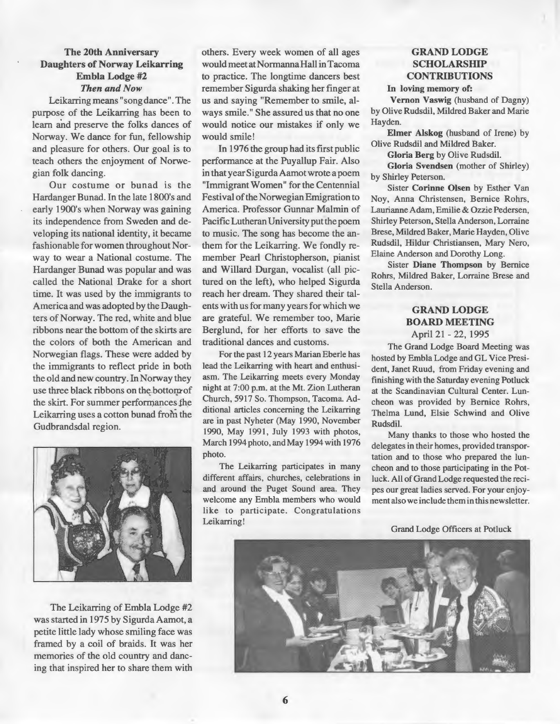## The 20th Anniversary Daughters of Norway Leikarring Embla Lodge #2 **Then** and Now

Leikarring means "song dance". The purpose of the Leikarring has been to leam and preserve the folks dances of Norway. We dance for fun, fellowship and pleasure for others. Our goal is to teach others the enjoyment of Norwegian folk dancing.

Our costume or bunad is the Hardanger Bunad. In the late 1800's and early 1900's when Norway was gaining its independence from Sweden and developing its national identity, it became fashionable for women throughout Norway to wear a National costume. The Hardanger Bunad was popular and was called the National Drake for a short time. It was used by the immigrants to America and was adopted by the Daughters of Norway. The red, white and blue ribbons near the bottom of the skirts are the colors of both the American and Norwegian flags. These were added by the immigrants to reflect pride in both the old and new country. In Norway they use three black ribbons on the bottom of the skirt. For summer performances the Leikarring uses a cotton bunad froni the Gudbrandsdal region.



The Leikarring of Embla Lodge #2 was started in 1975 by Sigurda Aamot, a petite little lady whose smiling face was framed by a coil of braids. It was her memories of the old country and dancing that inspired her to share them with

others. Every week women of all ages would meet at Normanna Hall in Tacoma to practice. The longtime dancers best remember Sigurda shaking her finger at us and saying "Remember to smile, always smile." She assured us that no one would notice our mistakes if only we would smile!

In 1976 the group had its first public performance at the Puyallup Fair. Also in that year Sigurda Aamot wrote a poem "Immigrant Women" for the Centennial Festival of the Norwegian Emigration to America. Professor Gunnar Malmin of Pacific Lutheran University put the poem to music. The song has become the anthem for the Leikarring. We fondly remember Pearl Christopherson, pianist and Willard Durgan, vocalist (all pictured on the left), who helped Sigurda reach her dream. They shared their talents with us for many years for which we are grateful. We remember too, Marie Berglund, for her efforts to save the traditional dances and customs.

For the past 12 years Marian Eberle has lead the Leikarring with heart and enthusiasm. The Leikarring meets every Monday night at 7:00 p.m. at the Mt. Zion Lutheran Church, 5917 So. Thompson, Tacoma. Additional articles conceming the Leikarring are in past Nyheter (May 1990, November 1990, May 1991, July 1993 with photos, March 1994 photo, and May 1994 with 1976 photo.

The Leikarring participates in many different affairs, churches, celebrations in and around the Puget Sound area. They welcome any Embla members who would like to participate. Congratulations Leikarring!

## **GRAND LODGE** SCHOLARSHIP CONTRIBUTIONS

#### In loving memory of:

Vernon Vaswig (husband of Dagny) by Olive Rudsdil, Mildred Baker and Marie Hayden.

Eimer Alskog (husband of Irene) by Olive Rudsdil and Mildred Baker.

Gloria Berg by Olive Rudsdil.

Gloria Svendsen (mother of Shirley) by Shirley Peterson.

Sister Corinne Olsen by Esther Van Noy, Anna Christensen, Bernice Rohrs, Laurianne Adam, Emilie & Ozzie Pedersen, Shirley Peterson, Stella Anderson, Lorraine Brese, Mildred Baker, Marie Hayden, Olive Rudsdil, Hildur Christiansen, Mary Nero, Elaine Anderson and Dorothy Long.

Sister Diane Thompson by Bernice Rohrs, Mildred Baker, Lorraine Brese and Stella Anderson.

## **GRAND LODGE** BOARD MEETING April 21 - 22, 1995

The Grand Lodge Board Meeting was hosted by Embla Lodge and GL Vice President, Janet Ruud, from Friday evening and finishing with the Saturday evening Potluck at the Scandinavian Cultural Center. Luncheon was provided by Bernice Rohrs, Thelma Lund, Elsie Schwind and Olive Rudsdil.

Many thanks to those who hosted the delegates in their homes, provided transportation and to those who prepared the luncheon and to those participating in the Potluck. All of Grand Lodge requested the recipes our great ladies served. For your enjoyment also we include them in this newsletter.

Grand Lodge Officers at Potluck

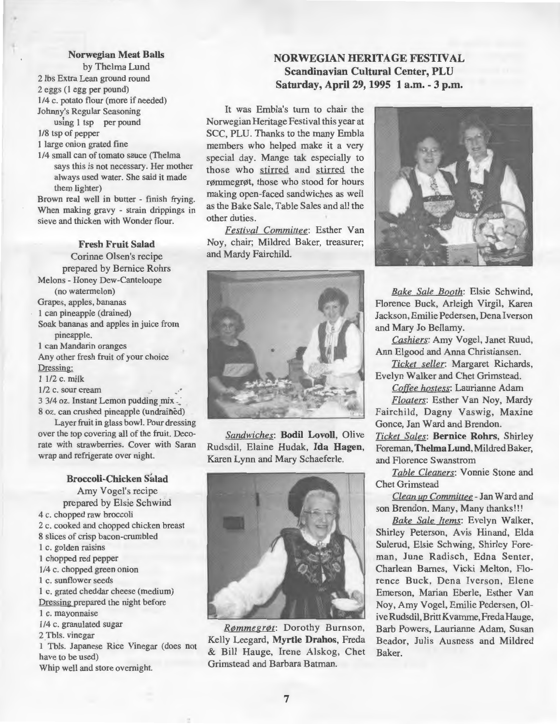#### **Norwegian Meat Balls**

by Thelma Lund 2 lbs Extra Lean ground round 2 eggs (1 egg per pound) 114 c. potato flour (more if needed) Johnny's Regular Seasoning using 1 tsp per pound

1/8 tsp of pepper

1 large onion grated fine

114 small can of tomato sauce (Thelma says this is not necessary. Her mother always used water. She said it made them lighter)

Brown real well in butter - finish frying. When making gravy - strain drippings in sieve and thicken with Wonder flour.

#### **Fresh Fruit Salad**

Corinne Olsen's recipe prepared by Bernice Rohrs Melons - Honey Dew-Canteloupe (no watermelon) Grapes, apples, bananas 1 can pineapple ( drained) Soak bananas and apples in juice from pineapple. 1 can Mandarin oranges Any other fresh fruit of your choice

Dressing:

1 112 c. milk

1/2 c. sour cream

 $3\frac{3}{4}$  oz. Instant Lemon pudding mix  $\overline{\phantom{a}}$ . 8 oz. can crushed pineapple (undrained)

Layer fruit in glass bowl. Pour dressing over the top covering all of the fruit. Decorate with strawberries. Cover with Saran wrap and refrigerate over night.

**Broccoli-Chicken Salad**  Amy Vogel's recipe prepared by Elsie Schwind 4 c. chopped raw broccoli 2 c. cooked and chopped chicken breast 8 slices of crisp bacon-crumbled 1 c. golden raisins 1 chopped red pepper 114 c. chopped green onion 1 c. sunflower seeds I c. grated cheddar cheese (medium) Dressing prepared the night before 1 c. mayonnaise 114 c. granulated sugar 2 Tbls. vinegar 1 Tbls. Japanese Rice Vinegar (does not have to be used) Whip well and store overnight.

## **NORWEGIAN HERITAGE FESTIVAL Scandinavian Cultural Center, PLU Saturday, April 29, 1995 1 a.m. - 3 p.m.**

It was Embla's turn to chair the Norwegian Heritage Festival this year at SCC, PLU. Thanks to the many Embla members who helped make it a very special day. Mange tak especially to those who stirred and stirred the rømmegrøt, those who stood for hours making open-faced sandwiches as well as the Bake Sale, Table Sales and all the other duties.

*Festival Committee:* Esther Van Noy, chair; Mildred Baker, treasurer; and Mardy Fairchild.



Sandwiches: Bodil Lovoll, Olive Rudsdil, Elaine Hudak, **Ida Hagen,**  Karen Lynn and Mary Schaeferle.



*Rømmegrøt:* Dorothy Burnson, Kelly Leegard, **Myrtle Drahos,** Freda & Bill Hauge, Irene Alskog, Chet Grirnstead and Barbara Batman.



*Bake Sale Booth:* Elsie Schwind, Florence Buck, Arleigh Virgil, Karen Jackson, Emilie Pedersen, Dena Iverson and Mary Jo Bellamy.

*Cashiers:* Amy Vogel, Janet Ruud, Ann Elgood and Anna Christiansen.

*Ticket seller:* Margaret Richards, Evelyn Walker and Chet Grimstead.

*Coffee hostess:* Laurianne Adam

*Floaters:* Esther Van Noy, Mardy Fairchild, Dagny Vaswig, Maxine Gonce, Jan Ward and Brendon. *Ticket Sales:* **Bernice Rohrs,** Shirley Foreman, **Thelma Lund,** Mildred Baker, and Florence Swanstrom

*Table Cleaners:* Vonnie Stone and Chet Grimstead

*Clean up Committee* -Jan W ard and son Brendon. Many, Many thanks!!!

*Bake Sale Items:* Evelyn Walker, Shirley Peterson, Avis Hinand, Elda Sulerud, Elsie Schwing, Shirley Foreman, June Radisch, Edna Senter, Charlean Barnes, Vicki Melton, Florence Buck, Dena Iverson, Elene Emerson, Marian Eberle, Esther Van Noy, Amy Vogel, Emilie Pedersen, 01 ive Rudsdil, Britt Kvamme, Freda Hauge, Barb Powers, Laurianne Adam, Susan Beador, Julis Ausness and Mildred Baker.